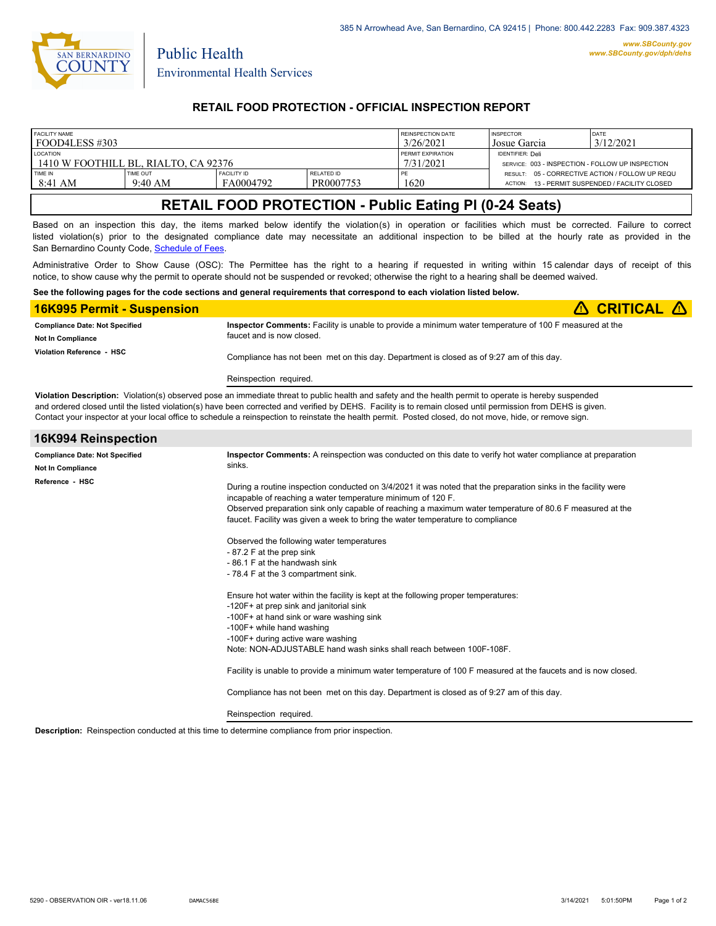

Public Health

## **RETAIL FOOD PROTECTION - OFFICIAL INSPECTION REPORT**

| <b>FACILITY NAME</b>                 |                       |                                 | <b>REINSPECTION DATE</b> | <b>INSPECTOR</b>  | DATE                                                              |                                         |  |
|--------------------------------------|-----------------------|---------------------------------|--------------------------|-------------------|-------------------------------------------------------------------|-----------------------------------------|--|
| l food4less #303                     |                       |                                 | 3/26/2021                | Josue Garcia      | 3/12/2021                                                         |                                         |  |
| <b>LOCATION</b>                      |                       |                                 |                          | PERMIT EXPIRATION | <b>IDENTIFIER: Deli</b>                                           |                                         |  |
| 1410 W FOOTHILL BL. RIALTO. CA 92376 |                       |                                 |                          | 7/31/2021         | SERVICE: 003 - INSPECTION - FOLLOW UP INSPECTION                  |                                         |  |
| <b>TIME IN</b><br>8:41 AM            | TIME OUT<br>$9:40$ AM | <b>FACILITY ID</b><br>FA0004792 | RELATED ID<br>PR0007753  | 1620              | RESULT: 05 - CORRECTIVE ACTION / FOLLOW UP REQU<br><b>ACTION:</b> | 13 - PERMIT SUSPENDED / FACILITY CLOSED |  |

# **RETAIL FOOD PROTECTION - Public Eating Pl (0-24 Seats)**

Based on an inspection this day, the items marked below identify the violation(s) in operation or facilities which must be corrected. Failure to correct listed violation(s) prior to the designated compliance date may necessitate an additional inspection to be billed at the hourly rate as provided in the San Bernardino County Code, Sc[hedule of Fees.](http://www.amlegal.com/nxt/gateway.dll/California/sanbernardinocounty_ca/title1governmentandadministration/division6countyfees/chapter2scheduleoffees?f=templates$fn=default.htm$3.0$vid=amlegal:sanbernardinocounty_ca$anc=JD_16.0213B)

Administrative Order to Show Cause (OSC): The Permittee has the right to a hearing if requested in writing within 15 calendar days of receipt of this notice, to show cause why the permit to operate should not be suspended or revoked; otherwise the right to a hearing shall be deemed waived.

#### **See the following pages for the code sections and general requirements that correspond to each violation listed below.**

| <b>16K995 Permit - Suspension</b>                            | $\triangle$ CRITICAL $\triangle$                                                                                                    |
|--------------------------------------------------------------|-------------------------------------------------------------------------------------------------------------------------------------|
| <b>Compliance Date: Not Specified</b>                        | Inspector Comments: Facility is unable to provide a minimum water temperature of 100 F measured at the<br>faucet and is now closed. |
| <b>Not In Compliance</b><br><b>Violation Reference - HSC</b> | Compliance has not been met on this day. Department is closed as of 9:27 am of this day.                                            |
|                                                              | Reinspection required.                                                                                                              |

**Violation Description:** Violation(s) observed pose an immediate threat to public health and safety and the health permit to operate is hereby suspended and ordered closed until the listed violation(s) have been corrected and verified by DEHS. Facility is to remain closed until permission from DEHS is given. Contact your inspector at your local office to schedule a reinspection to reinstate the health permit. Posted closed, do not move, hide, or remove sign.

| 16K994 Reinspection                                               |                                                                                                                                                                                                                                                                                                                                                                                                                                                                                                                                                                                                                                                                                                                                                                            |  |  |  |
|-------------------------------------------------------------------|----------------------------------------------------------------------------------------------------------------------------------------------------------------------------------------------------------------------------------------------------------------------------------------------------------------------------------------------------------------------------------------------------------------------------------------------------------------------------------------------------------------------------------------------------------------------------------------------------------------------------------------------------------------------------------------------------------------------------------------------------------------------------|--|--|--|
| <b>Compliance Date: Not Specified</b><br><b>Not In Compliance</b> | Inspector Comments: A reinspection was conducted on this date to verify hot water compliance at preparation<br>sinks.                                                                                                                                                                                                                                                                                                                                                                                                                                                                                                                                                                                                                                                      |  |  |  |
| Reference - HSC                                                   | During a routine inspection conducted on 3/4/2021 it was noted that the preparation sinks in the facility were<br>incapable of reaching a water temperature minimum of 120 F.<br>Observed preparation sink only capable of reaching a maximum water temperature of 80.6 F measured at the<br>faucet. Facility was given a week to bring the water temperature to compliance<br>Observed the following water temperatures<br>-87.2 F at the prep sink<br>-86.1 F at the handwash sink<br>- 78.4 F at the 3 compartment sink.<br>Ensure hot water within the facility is kept at the following proper temperatures:<br>-120F+ at prep sink and janitorial sink<br>-100F+ at hand sink or ware washing sink<br>-100F+ while hand washing<br>-100F+ during active ware washing |  |  |  |
|                                                                   | Note: NON-ADJUSTABLE hand wash sinks shall reach between 100F-108F.                                                                                                                                                                                                                                                                                                                                                                                                                                                                                                                                                                                                                                                                                                        |  |  |  |
|                                                                   | Facility is unable to provide a minimum water temperature of 100 F measured at the faucets and is now closed.                                                                                                                                                                                                                                                                                                                                                                                                                                                                                                                                                                                                                                                              |  |  |  |
|                                                                   | Compliance has not been met on this day. Department is closed as of 9:27 am of this day.                                                                                                                                                                                                                                                                                                                                                                                                                                                                                                                                                                                                                                                                                   |  |  |  |
|                                                                   | Reinspection required.                                                                                                                                                                                                                                                                                                                                                                                                                                                                                                                                                                                                                                                                                                                                                     |  |  |  |

**Description:** Reinspection conducted at this time to determine compliance from prior inspection.